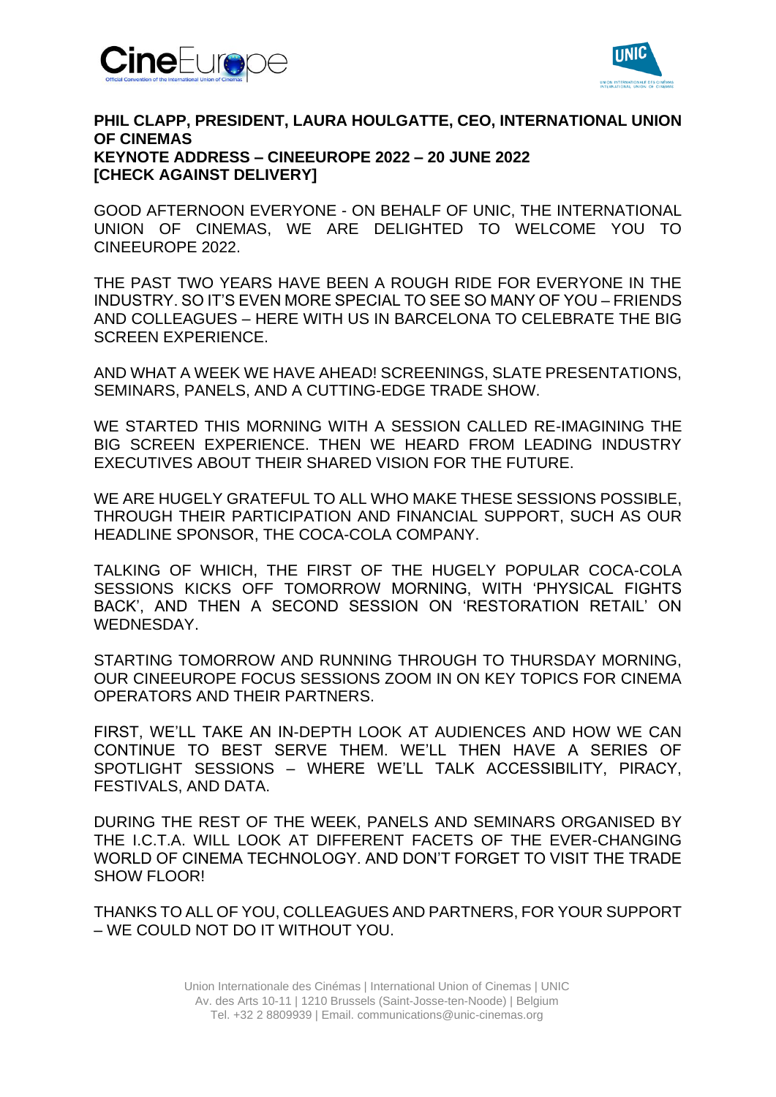



## **PHIL CLAPP, PRESIDENT, LAURA HOULGATTE, CEO, INTERNATIONAL UNION OF CINEMAS KEYNOTE ADDRESS – CINEEUROPE 2022 – 20 JUNE 2022 [CHECK AGAINST DELIVERY]**

GOOD AFTERNOON EVERYONE - ON BEHALF OF UNIC, THE INTERNATIONAL UNION OF CINEMAS, WE ARE DELIGHTED TO WELCOME YOU TO CINEEUROPE 2022.

THE PAST TWO YEARS HAVE BEEN A ROUGH RIDE FOR EVERYONE IN THE INDUSTRY. SO IT'S EVEN MORE SPECIAL TO SEE SO MANY OF YOU – FRIENDS AND COLLEAGUES – HERE WITH US IN BARCELONA TO CELEBRATE THE BIG SCREEN EXPERIENCE.

AND WHAT A WEEK WE HAVE AHEAD! SCREENINGS, SLATE PRESENTATIONS, SEMINARS, PANELS, AND A CUTTING-EDGE TRADE SHOW.

WE STARTED THIS MORNING WITH A SESSION CALLED RE-IMAGINING THE BIG SCREEN EXPERIENCE. THEN WE HEARD FROM LEADING INDUSTRY EXECUTIVES ABOUT THEIR SHARED VISION FOR THE FUTURE.

WE ARE HUGELY GRATEFUL TO ALL WHO MAKE THESE SESSIONS POSSIBLE, THROUGH THEIR PARTICIPATION AND FINANCIAL SUPPORT, SUCH AS OUR HEADLINE SPONSOR, THE COCA-COLA COMPANY.

TALKING OF WHICH, THE FIRST OF THE HUGELY POPULAR COCA-COLA SESSIONS KICKS OFF TOMORROW MORNING, WITH 'PHYSICAL FIGHTS BACK', AND THEN A SECOND SESSION ON 'RESTORATION RETAIL' ON WEDNESDAY.

STARTING TOMORROW AND RUNNING THROUGH TO THURSDAY MORNING, OUR CINEEUROPE FOCUS SESSIONS ZOOM IN ON KEY TOPICS FOR CINEMA OPERATORS AND THEIR PARTNERS.

FIRST, WE'LL TAKE AN IN-DEPTH LOOK AT AUDIENCES AND HOW WE CAN CONTINUE TO BEST SERVE THEM. WE'LL THEN HAVE A SERIES OF SPOTLIGHT SESSIONS – WHERE WE'LL TALK ACCESSIBILITY, PIRACY, FESTIVALS, AND DATA.

DURING THE REST OF THE WEEK, PANELS AND SEMINARS ORGANISED BY THE I.C.T.A. WILL LOOK AT DIFFERENT FACETS OF THE EVER-CHANGING WORLD OF CINEMA TECHNOLOGY. AND DON'T FORGET TO VISIT THE TRADE SHOW FLOOR!

THANKS TO ALL OF YOU, COLLEAGUES AND PARTNERS, FOR YOUR SUPPORT – WE COULD NOT DO IT WITHOUT YOU.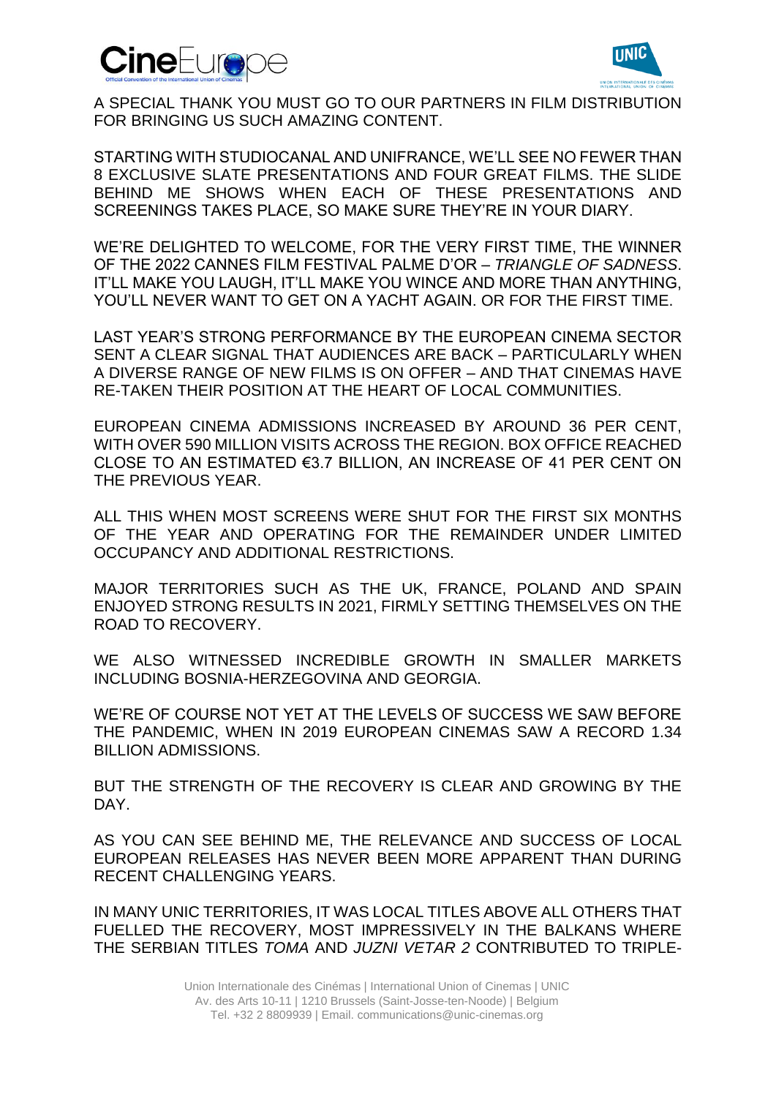



A SPECIAL THANK YOU MUST GO TO OUR PARTNERS IN FILM DISTRIBUTION FOR BRINGING US SUCH AMAZING CONTENT.

STARTING WITH STUDIOCANAL AND UNIFRANCE, WE'LL SEE NO FEWER THAN 8 EXCLUSIVE SLATE PRESENTATIONS AND FOUR GREAT FILMS. THE SLIDE BEHIND ME SHOWS WHEN EACH OF THESE PRESENTATIONS AND SCREENINGS TAKES PLACE, SO MAKE SURE THEY'RE IN YOUR DIARY.

WE'RE DELIGHTED TO WELCOME, FOR THE VERY FIRST TIME, THE WINNER OF THE 2022 CANNES FILM FESTIVAL PALME D'OR – *TRIANGLE OF SADNESS*. IT'LL MAKE YOU LAUGH, IT'LL MAKE YOU WINCE AND MORE THAN ANYTHING, YOU'LL NEVER WANT TO GET ON A YACHT AGAIN. OR FOR THE FIRST TIME.

LAST YEAR'S STRONG PERFORMANCE BY THE EUROPEAN CINEMA SECTOR SENT A CLEAR SIGNAL THAT AUDIENCES ARE BACK – PARTICULARLY WHEN A DIVERSE RANGE OF NEW FILMS IS ON OFFER – AND THAT CINEMAS HAVE RE-TAKEN THEIR POSITION AT THE HEART OF LOCAL COMMUNITIES.

EUROPEAN CINEMA ADMISSIONS INCREASED BY AROUND 36 PER CENT, WITH OVER 590 MILLION VISITS ACROSS THE REGION. BOX OFFICE REACHED CLOSE TO AN ESTIMATED €3.7 BILLION, AN INCREASE OF 41 PER CENT ON THE PREVIOUS YEAR.

ALL THIS WHEN MOST SCREENS WERE SHUT FOR THE FIRST SIX MONTHS OF THE YEAR AND OPERATING FOR THE REMAINDER UNDER LIMITED OCCUPANCY AND ADDITIONAL RESTRICTIONS.

MAJOR TERRITORIES SUCH AS THE UK, FRANCE, POLAND AND SPAIN ENJOYED STRONG RESULTS IN 2021, FIRMLY SETTING THEMSELVES ON THE ROAD TO RECOVERY.

WE ALSO WITNESSED INCREDIBLE GROWTH IN SMALLER MARKETS INCLUDING BOSNIA-HERZEGOVINA AND GEORGIA.

WE'RE OF COURSE NOT YET AT THE LEVELS OF SUCCESS WE SAW BEFORE THE PANDEMIC, WHEN IN 2019 EUROPEAN CINEMAS SAW A RECORD 1.34 BILLION ADMISSIONS.

BUT THE STRENGTH OF THE RECOVERY IS CLEAR AND GROWING BY THE DAY.

AS YOU CAN SEE BEHIND ME, THE RELEVANCE AND SUCCESS OF LOCAL EUROPEAN RELEASES HAS NEVER BEEN MORE APPARENT THAN DURING RECENT CHALLENGING YEARS.

IN MANY UNIC TERRITORIES, IT WAS LOCAL TITLES ABOVE ALL OTHERS THAT FUELLED THE RECOVERY, MOST IMPRESSIVELY IN THE BALKANS WHERE THE SERBIAN TITLES *TOMA* AND *JUZNI VETAR 2* CONTRIBUTED TO TRIPLE-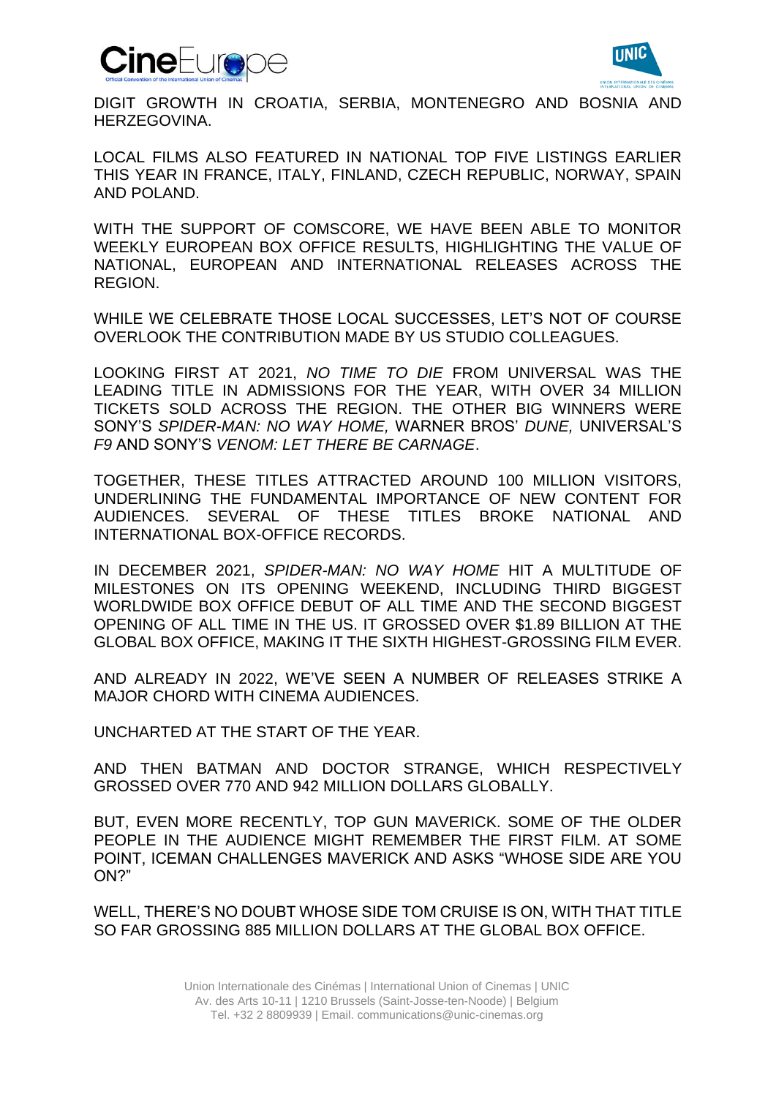



DIGIT GROWTH IN CROATIA, SERBIA, MONTENEGRO AND BOSNIA AND HERZEGOVINA.

LOCAL FILMS ALSO FEATURED IN NATIONAL TOP FIVE LISTINGS EARLIER THIS YEAR IN FRANCE, ITALY, FINLAND, CZECH REPUBLIC, NORWAY, SPAIN AND POLAND.

WITH THE SUPPORT OF COMSCORE, WE HAVE BEEN ABLE TO MONITOR WEEKLY EUROPEAN BOX OFFICE RESULTS, HIGHLIGHTING THE VALUE OF NATIONAL, EUROPEAN AND INTERNATIONAL RELEASES ACROSS THE REGION.

WHILE WE CELEBRATE THOSE LOCAL SUCCESSES, LET'S NOT OF COURSE OVERLOOK THE CONTRIBUTION MADE BY US STUDIO COLLEAGUES.

LOOKING FIRST AT 2021, *NO TIME TO DIE* FROM UNIVERSAL WAS THE LEADING TITLE IN ADMISSIONS FOR THE YEAR, WITH OVER 34 MILLION TICKETS SOLD ACROSS THE REGION. THE OTHER BIG WINNERS WERE SONY'S *SPIDER-MAN: NO WAY HOME,* WARNER BROS' *DUNE,* UNIVERSAL'S *F9* AND SONY'S *VENOM: LET THERE BE CARNAGE*.

TOGETHER, THESE TITLES ATTRACTED AROUND 100 MILLION VISITORS, UNDERLINING THE FUNDAMENTAL IMPORTANCE OF NEW CONTENT FOR AUDIENCES. SEVERAL OF THESE TITLES BROKE NATIONAL AND INTERNATIONAL BOX-OFFICE RECORDS.

IN DECEMBER 2021, *SPIDER-MAN: NO WAY HOME* HIT A MULTITUDE OF MILESTONES ON ITS OPENING WEEKEND, INCLUDING THIRD BIGGEST WORLDWIDE BOX OFFICE DEBUT OF ALL TIME AND THE SECOND BIGGEST OPENING OF ALL TIME IN THE US. IT GROSSED OVER \$1.89 BILLION AT THE GLOBAL BOX OFFICE, MAKING IT THE SIXTH HIGHEST-GROSSING FILM EVER.

AND ALREADY IN 2022, WE'VE SEEN A NUMBER OF RELEASES STRIKE A MAJOR CHORD WITH CINEMA AUDIENCES.

UNCHARTED AT THE START OF THE YEAR.

AND THEN BATMAN AND DOCTOR STRANGE, WHICH RESPECTIVELY GROSSED OVER 770 AND 942 MILLION DOLLARS GLOBALLY.

BUT, EVEN MORE RECENTLY, TOP GUN MAVERICK. SOME OF THE OLDER PEOPLE IN THE AUDIENCE MIGHT REMEMBER THE FIRST FILM. AT SOME POINT, ICEMAN CHALLENGES MAVERICK AND ASKS "WHOSE SIDE ARE YOU ON?"

WELL, THERE'S NO DOUBT WHOSE SIDE TOM CRUISE IS ON, WITH THAT TITLE SO FAR GROSSING 885 MILLION DOLLARS AT THE GLOBAL BOX OFFICE.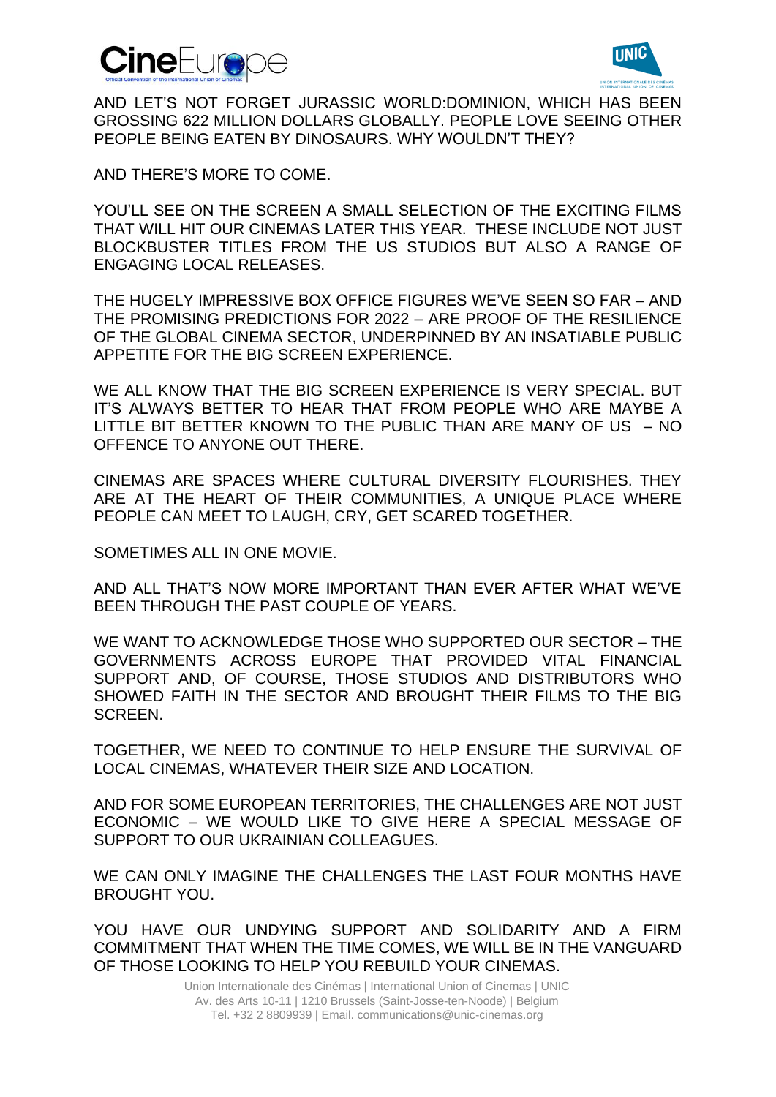



AND LET'S NOT FORGET JURASSIC WORLD:DOMINION, WHICH HAS BEEN GROSSING 622 MILLION DOLLARS GLOBALLY. PEOPLE LOVE SEEING OTHER PEOPLE BEING FATEN BY DINOSAURS. WHY WOULDN'T THEY?

AND THERE'S MORE TO COME.

YOU'LL SEE ON THE SCREEN A SMALL SELECTION OF THE EXCITING FILMS THAT WILL HIT OUR CINEMAS LATER THIS YEAR. THESE INCLUDE NOT JUST BLOCKBUSTER TITLES FROM THE US STUDIOS BUT ALSO A RANGE OF ENGAGING LOCAL RELEASES.

THE HUGELY IMPRESSIVE BOX OFFICE FIGURES WE'VE SEEN SO FAR – AND THE PROMISING PREDICTIONS FOR 2022 – ARE PROOF OF THE RESILIENCE OF THE GLOBAL CINEMA SECTOR, UNDERPINNED BY AN INSATIABLE PUBLIC APPETITE FOR THE BIG SCREEN EXPERIENCE.

WE ALL KNOW THAT THE BIG SCREEN EXPERIENCE IS VERY SPECIAL. BUT IT'S ALWAYS BETTER TO HEAR THAT FROM PEOPLE WHO ARE MAYBE A LITTLE BIT BETTER KNOWN TO THE PUBLIC THAN ARE MANY OF US – NO OFFENCE TO ANYONE OUT THERE.

CINEMAS ARE SPACES WHERE CULTURAL DIVERSITY FLOURISHES. THEY ARE AT THE HEART OF THEIR COMMUNITIES, A UNIQUE PLACE WHERE PEOPLE CAN MEET TO LAUGH, CRY, GET SCARED TOGETHER.

SOMETIMES ALL IN ONE MOVIE.

AND ALL THAT'S NOW MORE IMPORTANT THAN EVER AFTER WHAT WE'VE BEEN THROUGH THE PAST COUPLE OF YEARS.

WE WANT TO ACKNOWLEDGE THOSE WHO SUPPORTED OUR SECTOR – THE GOVERNMENTS ACROSS EUROPE THAT PROVIDED VITAL FINANCIAL SUPPORT AND, OF COURSE, THOSE STUDIOS AND DISTRIBUTORS WHO SHOWED FAITH IN THE SECTOR AND BROUGHT THEIR FILMS TO THE BIG SCREEN.

TOGETHER, WE NEED TO CONTINUE TO HELP ENSURE THE SURVIVAL OF LOCAL CINEMAS, WHATEVER THEIR SIZE AND LOCATION.

AND FOR SOME EUROPEAN TERRITORIES, THE CHALLENGES ARE NOT JUST ECONOMIC – WE WOULD LIKE TO GIVE HERE A SPECIAL MESSAGE OF SUPPORT TO OUR UKRAINIAN COLLEAGUES.

WE CAN ONLY IMAGINE THE CHALLENGES THE LAST FOUR MONTHS HAVE BROUGHT YOU.

YOU HAVE OUR UNDYING SUPPORT AND SOLIDARITY AND A FIRM COMMITMENT THAT WHEN THE TIME COMES, WE WILL BE IN THE VANGUARD OF THOSE LOOKING TO HELP YOU REBUILD YOUR CINEMAS.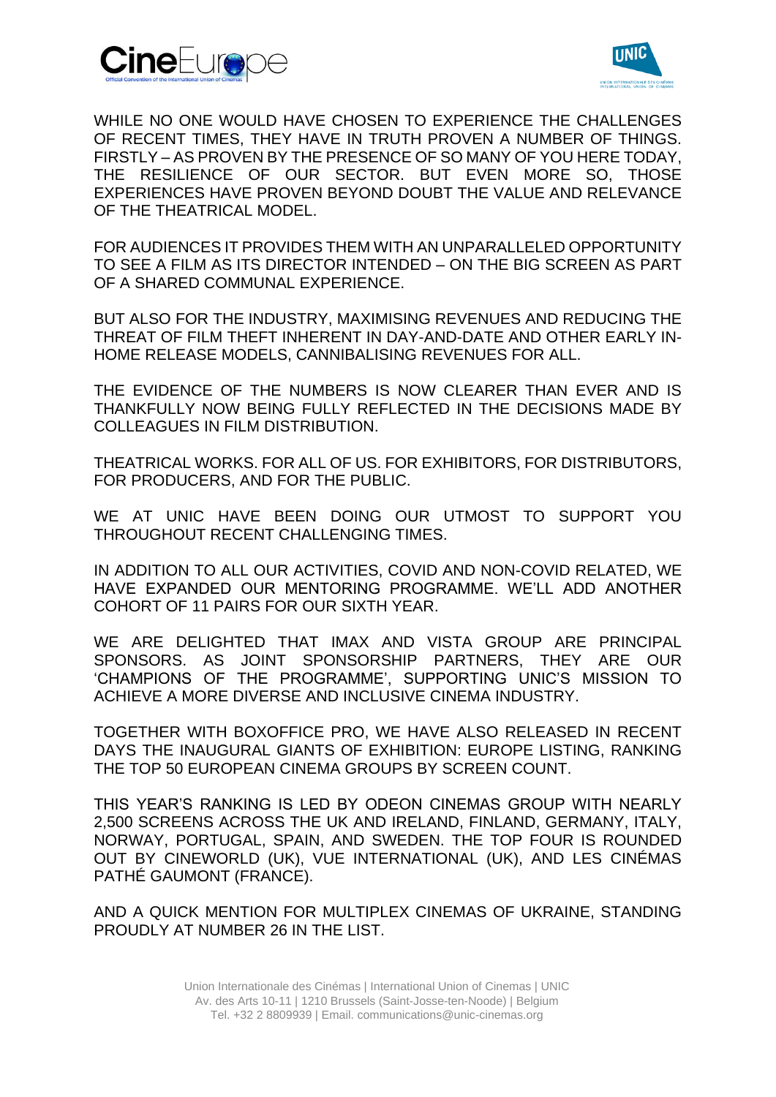



WHILE NO ONE WOULD HAVE CHOSEN TO EXPERIENCE THE CHALLENGES OF RECENT TIMES, THEY HAVE IN TRUTH PROVEN A NUMBER OF THINGS. FIRSTLY – AS PROVEN BY THE PRESENCE OF SO MANY OF YOU HERE TODAY, THE RESILIENCE OF OUR SECTOR. BUT EVEN MORE SO, THOSE EXPERIENCES HAVE PROVEN BEYOND DOUBT THE VALUE AND RELEVANCE OF THE THEATRICAL MODEL.

FOR AUDIENCES IT PROVIDES THEM WITH AN UNPARALLELED OPPORTUNITY TO SEE A FILM AS ITS DIRECTOR INTENDED – ON THE BIG SCREEN AS PART OF A SHARED COMMUNAL EXPERIENCE.

BUT ALSO FOR THE INDUSTRY, MAXIMISING REVENUES AND REDUCING THE THREAT OF FILM THEFT INHERENT IN DAY-AND-DATE AND OTHER EARLY IN-HOME RELEASE MODELS, CANNIBALISING REVENUES FOR ALL.

THE EVIDENCE OF THE NUMBERS IS NOW CLEARER THAN EVER AND IS THANKFULLY NOW BEING FULLY REFLECTED IN THE DECISIONS MADE BY COLLEAGUES IN FILM DISTRIBUTION.

THEATRICAL WORKS. FOR ALL OF US. FOR EXHIBITORS, FOR DISTRIBUTORS, FOR PRODUCERS, AND FOR THE PUBLIC.

WE AT UNIC HAVE BEEN DOING OUR UTMOST TO SUPPORT YOU THROUGHOUT RECENT CHALLENGING TIMES.

IN ADDITION TO ALL OUR ACTIVITIES, COVID AND NON-COVID RELATED, WE HAVE EXPANDED OUR MENTORING PROGRAMME. WE'LL ADD ANOTHER COHORT OF 11 PAIRS FOR OUR SIXTH YEAR.

WE ARE DELIGHTED THAT IMAX AND VISTA GROUP ARE PRINCIPAL SPONSORS. AS JOINT SPONSORSHIP PARTNERS, THEY ARE OUR 'CHAMPIONS OF THE PROGRAMME', SUPPORTING UNIC'S MISSION TO ACHIEVE A MORE DIVERSE AND INCLUSIVE CINEMA INDUSTRY.

TOGETHER WITH BOXOFFICE PRO, WE HAVE ALSO RELEASED IN RECENT DAYS THE INAUGURAL GIANTS OF EXHIBITION: EUROPE LISTING, RANKING THE TOP 50 EUROPEAN CINEMA GROUPS BY SCREEN COUNT.

THIS YEAR'S RANKING IS LED BY ODEON CINEMAS GROUP WITH NEARLY 2,500 SCREENS ACROSS THE UK AND IRELAND, FINLAND, GERMANY, ITALY, NORWAY, PORTUGAL, SPAIN, AND SWEDEN. THE TOP FOUR IS ROUNDED OUT BY CINEWORLD (UK), VUE INTERNATIONAL (UK), AND LES CINÉMAS PATHÉ GAUMONT (FRANCE).

AND A QUICK MENTION FOR MULTIPLEX CINEMAS OF UKRAINE, STANDING PROUDLY AT NUMBER 26 IN THE LIST.